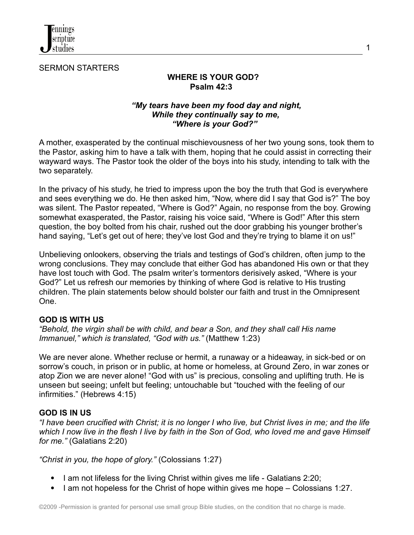

SERMON STARTERS

# **WHERE IS YOUR GOD? Psalm 42:3**

### *"My tears have been my food day and night, While they continually say to me, "Where is your God?"*

A mother, exasperated by the continual mischievousness of her two young sons, took them to the Pastor, asking him to have a talk with them, hoping that he could assist in correcting their wayward ways. The Pastor took the older of the boys into his study, intending to talk with the two separately.

In the privacy of his study, he tried to impress upon the boy the truth that God is everywhere and sees everything we do. He then asked him, "Now, where did I say that God is?" The boy was silent. The Pastor repeated, "Where is God?" Again, no response from the boy. Growing somewhat exasperated, the Pastor, raising his voice said, "Where is God!" After this stern question, the boy bolted from his chair, rushed out the door grabbing his younger brother's hand saying, "Let's get out of here; they've lost God and they're trying to blame it on us!"

Unbelieving onlookers, observing the trials and testings of God's children, often jump to the wrong conclusions. They may conclude that either God has abandoned His own or that they have lost touch with God. The psalm writer's tormentors derisively asked, "Where is your God?" Let us refresh our memories by thinking of where God is relative to His trusting children. The plain statements below should bolster our faith and trust in the Omnipresent One.

### **GOD IS WITH US**

*"Behold, the virgin shall be with child, and bear a Son, and they shall call His name Immanuel," which is translated, "God with us."* (Matthew 1:23)

We are never alone. Whether recluse or hermit, a runaway or a hideaway, in sick-bed or on sorrow's couch, in prison or in public, at home or homeless, at Ground Zero, in war zones or atop Zion we are never alone! "God with us" is precious, consoling and uplifting truth. He is unseen but seeing; unfelt but feeling; untouchable but "touched with the feeling of our infirmities." (Hebrews 4:15)

### **GOD IS IN US**

"I have been crucified with Christ; it is no longer I who live, but Christ lives in me; and the life which I now live in the flesh I live by faith in the Son of God, who loved me and gave Himself *for me."* (Galatians 2:20)

*"Christ in you, the hope of glory."* (Colossians 1:27)

- I am not lifeless for the living Christ within gives me life Galatians 2:20;
- I am not hopeless for the Christ of hope within gives me hope  $-$  Colossians 1:27.

1